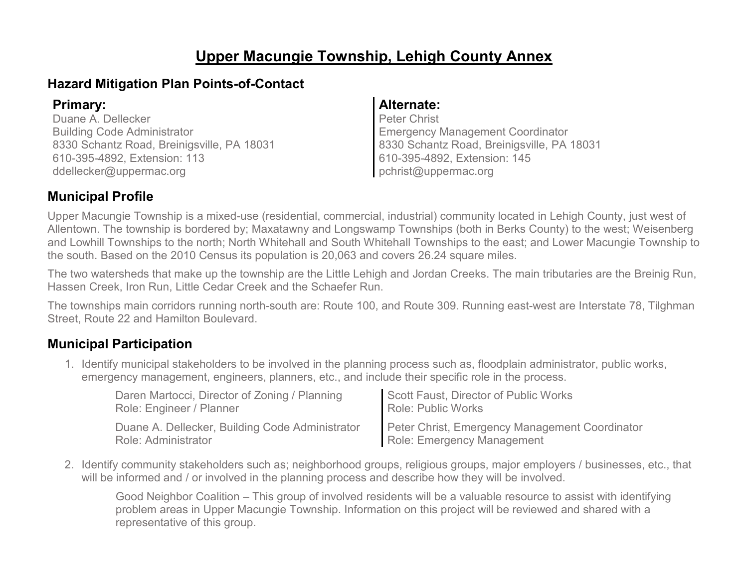### **Upper Macungie Township, Lehigh County Annex**

### **Hazard Mitigation Plan Points-of-Contact**

Duane A. Dellecker Building Code Administrator 8330 Schantz Road, Breinigsville, PA 18031 610-395-4892, Extension: 113 ddellecker@uppermac.org

#### **Primary: Alternate:**

Peter Christ Emergency Management Coordinator 8330 Schantz Road, Breinigsville, PA 18031 610-395-4892, Extension: 145 pchrist@uppermac.org

### **Municipal Profile**

Upper Macungie Township is a mixed-use (residential, commercial, industrial) community located in Lehigh County, just west of Allentown. The township is bordered by; Maxatawny and Longswamp Townships (both in Berks County) to the west; Weisenberg and Lowhill Townships to the north; North Whitehall and South Whitehall Townships to the east; and Lower Macungie Township to the south. Based on the 2010 Census its population is 20,063 and covers 26.24 square miles.

The two watersheds that make up the township are the Little Lehigh and Jordan Creeks. The main tributaries are the Breinig Run, Hassen Creek, Iron Run, Little Cedar Creek and the Schaefer Run.

The townships main corridors running north-south are: Route 100, and Route 309. Running east-west are Interstate 78, Tilghman Street, Route 22 and Hamilton Boulevard.

### **Municipal Participation**

1. Identify municipal stakeholders to be involved in the planning process such as, floodplain administrator, public works, emergency management, engineers, planners, etc., and include their specific role in the process.

| Daren Martocci, Director of Zoning / Planning   | Scott Faust, Director of Public Works          |
|-------------------------------------------------|------------------------------------------------|
| Role: Engineer / Planner                        | <b>Role: Public Works</b>                      |
| Duane A. Dellecker, Building Code Administrator | Peter Christ, Emergency Management Coordinator |
| Role: Administrator                             | Role: Emergency Management                     |

2. Identify community stakeholders such as; neighborhood groups, religious groups, major employers / businesses, etc., that will be informed and / or involved in the planning process and describe how they will be involved.

Good Neighbor Coalition – This group of involved residents will be a valuable resource to assist with identifying problem areas in Upper Macungie Township. Information on this project will be reviewed and shared with a representative of this group.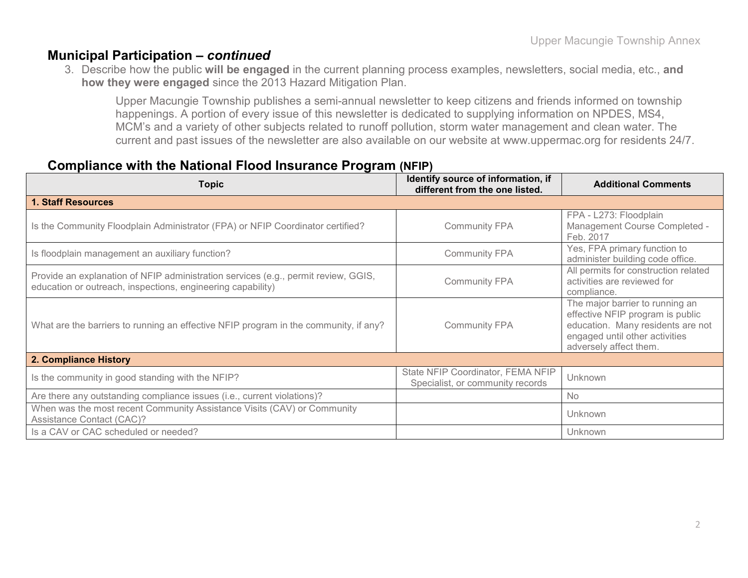### **Municipal Participation –** *continued*

3. Describe how the public **will be engaged** in the current planning process examples, newsletters, social media, etc., **and how they were engaged** since the 2013 Hazard Mitigation Plan.

Upper Macungie Township publishes a semi-annual newsletter to keep citizens and friends informed on township happenings. A portion of every issue of this newsletter is dedicated to supplying information on NPDES, MS4, MCM's and a variety of other subjects related to runoff pollution, storm water management and clean water. The current and past issues of the newsletter are also available on our website at www.uppermac.org for residents 24/7.

#### **Compliance with the National Flood Insurance Program (NFIP)**

| <b>Topic</b>                                                                                                                                      | Identify source of information, if<br>different from the one listed.  | <b>Additional Comments</b>                                                                                                                                           |
|---------------------------------------------------------------------------------------------------------------------------------------------------|-----------------------------------------------------------------------|----------------------------------------------------------------------------------------------------------------------------------------------------------------------|
| <b>1. Staff Resources</b>                                                                                                                         |                                                                       |                                                                                                                                                                      |
| Is the Community Floodplain Administrator (FPA) or NFIP Coordinator certified?                                                                    | <b>Community FPA</b>                                                  | FPA - L273: Floodplain<br>Management Course Completed -<br>Feb. 2017                                                                                                 |
| Is floodplain management an auxiliary function?                                                                                                   | <b>Community FPA</b>                                                  | Yes, FPA primary function to<br>administer building code office.                                                                                                     |
| Provide an explanation of NFIP administration services (e.g., permit review, GGIS,<br>education or outreach, inspections, engineering capability) | <b>Community FPA</b>                                                  | All permits for construction related<br>activities are reviewed for<br>compliance.                                                                                   |
| What are the barriers to running an effective NFIP program in the community, if any?                                                              | <b>Community FPA</b>                                                  | The major barrier to running an<br>effective NFIP program is public<br>education. Many residents are not<br>engaged until other activities<br>adversely affect them. |
| 2. Compliance History                                                                                                                             |                                                                       |                                                                                                                                                                      |
| Is the community in good standing with the NFIP?                                                                                                  | State NFIP Coordinator, FEMA NFIP<br>Specialist, or community records | Unknown                                                                                                                                                              |
| Are there any outstanding compliance issues (i.e., current violations)?                                                                           |                                                                       | <b>No</b>                                                                                                                                                            |
| When was the most recent Community Assistance Visits (CAV) or Community<br>Assistance Contact (CAC)?                                              |                                                                       | Unknown                                                                                                                                                              |
| Is a CAV or CAC scheduled or needed?                                                                                                              |                                                                       | Unknown                                                                                                                                                              |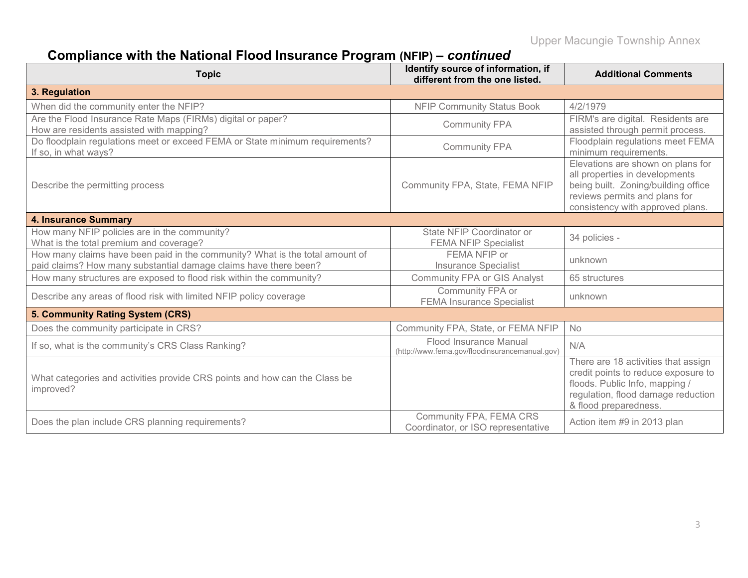# **Compliance with the National Flood Insurance Program (NFIP) –** *continued*

| <b>Topic</b>                                                                                                                                     | Identify source of information, if<br>different from the one listed.     | <b>Additional Comments</b>                                                                                                                                                      |
|--------------------------------------------------------------------------------------------------------------------------------------------------|--------------------------------------------------------------------------|---------------------------------------------------------------------------------------------------------------------------------------------------------------------------------|
| 3. Regulation                                                                                                                                    |                                                                          |                                                                                                                                                                                 |
| When did the community enter the NFIP?                                                                                                           | <b>NFIP Community Status Book</b>                                        | 4/2/1979                                                                                                                                                                        |
| Are the Flood Insurance Rate Maps (FIRMs) digital or paper?<br>How are residents assisted with mapping?                                          | <b>Community FPA</b>                                                     | FIRM's are digital. Residents are<br>assisted through permit process.                                                                                                           |
| Do floodplain regulations meet or exceed FEMA or State minimum requirements?<br>If so, in what ways?                                             | <b>Community FPA</b>                                                     | Floodplain regulations meet FEMA<br>minimum requirements.                                                                                                                       |
| Describe the permitting process                                                                                                                  | Community FPA, State, FEMA NFIP                                          | Elevations are shown on plans for<br>all properties in developments<br>being built. Zoning/building office<br>reviews permits and plans for<br>consistency with approved plans. |
| <b>4. Insurance Summary</b>                                                                                                                      |                                                                          |                                                                                                                                                                                 |
| How many NFIP policies are in the community?<br>What is the total premium and coverage?                                                          | State NFIP Coordinator or<br><b>FEMA NFIP Specialist</b>                 | 34 policies -                                                                                                                                                                   |
| How many claims have been paid in the community? What is the total amount of<br>paid claims? How many substantial damage claims have there been? | FEMA NFIP or<br><b>Insurance Specialist</b>                              | unknown                                                                                                                                                                         |
| How many structures are exposed to flood risk within the community?                                                                              | <b>Community FPA or GIS Analyst</b>                                      | 65 structures                                                                                                                                                                   |
| Describe any areas of flood risk with limited NFIP policy coverage                                                                               | Community FPA or<br><b>FEMA Insurance Specialist</b>                     | unknown                                                                                                                                                                         |
| 5. Community Rating System (CRS)                                                                                                                 |                                                                          |                                                                                                                                                                                 |
| Does the community participate in CRS?                                                                                                           | Community FPA, State, or FEMA NFIP                                       | <b>No</b>                                                                                                                                                                       |
| If so, what is the community's CRS Class Ranking?                                                                                                | Flood Insurance Manual<br>(http://www.fema.gov/floodinsurancemanual.gov) | N/A                                                                                                                                                                             |
| What categories and activities provide CRS points and how can the Class be<br>improved?                                                          |                                                                          | There are 18 activities that assign<br>credit points to reduce exposure to<br>floods. Public Info, mapping /<br>regulation, flood damage reduction<br>& flood preparedness.     |
| Does the plan include CRS planning requirements?                                                                                                 | Community FPA, FEMA CRS<br>Coordinator, or ISO representative            | Action item #9 in 2013 plan                                                                                                                                                     |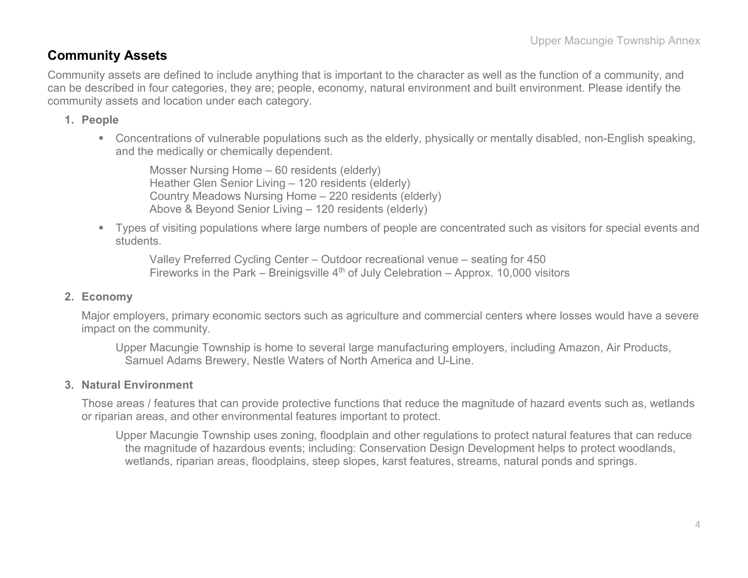### **Community Assets**

Community assets are defined to include anything that is important to the character as well as the function of a community, and can be described in four categories, they are; people, economy, natural environment and built environment. Please identify the community assets and location under each category.

#### **1. People**

 Concentrations of vulnerable populations such as the elderly, physically or mentally disabled, non-English speaking, and the medically or chemically dependent.

Mosser Nursing Home – 60 residents (elderly) Heather Glen Senior Living – 120 residents (elderly) Country Meadows Nursing Home – 220 residents (elderly) Above & Beyond Senior Living – 120 residents (elderly)

 Types of visiting populations where large numbers of people are concentrated such as visitors for special events and students.

Valley Preferred Cycling Center – Outdoor recreational venue – seating for 450 Fireworks in the Park – Breinigsville  $4<sup>th</sup>$  of July Celebration – Approx. 10,000 visitors

#### **2. Economy**

Major employers, primary economic sectors such as agriculture and commercial centers where losses would have a severe impact on the community.

Upper Macungie Township is home to several large manufacturing employers, including Amazon, Air Products, Samuel Adams Brewery, Nestle Waters of North America and U-Line.

#### **3. Natural Environment**

Those areas / features that can provide protective functions that reduce the magnitude of hazard events such as, wetlands or riparian areas, and other environmental features important to protect.

Upper Macungie Township uses zoning, floodplain and other regulations to protect natural features that can reduce the magnitude of hazardous events; including: Conservation Design Development helps to protect woodlands, wetlands, riparian areas, floodplains, steep slopes, karst features, streams, natural ponds and springs.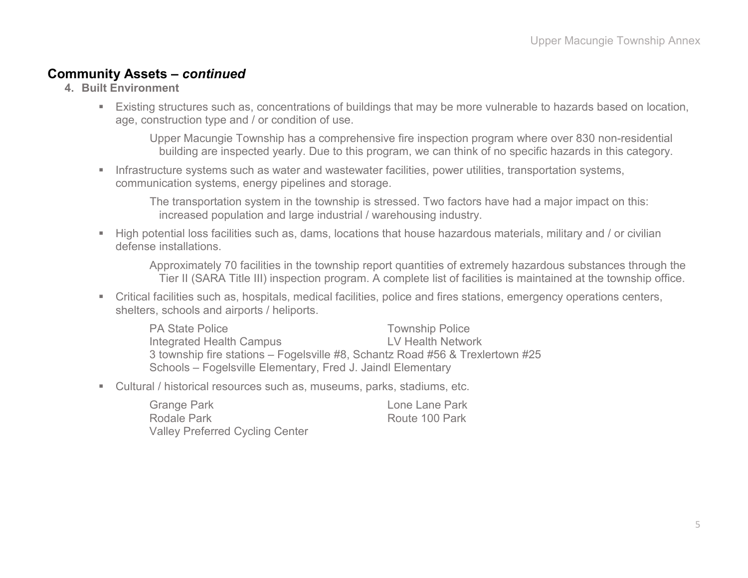#### **Community Assets –** *continued*

- **4. Built Environment**
	- Existing structures such as, concentrations of buildings that may be more vulnerable to hazards based on location, age, construction type and / or condition of use.

Upper Macungie Township has a comprehensive fire inspection program where over 830 non-residential building are inspected yearly. Due to this program, we can think of no specific hazards in this category.

**Infrastructure systems such as water and wastewater facilities, power utilities, transportation systems,** communication systems, energy pipelines and storage.

The transportation system in the township is stressed. Two factors have had a major impact on this: increased population and large industrial / warehousing industry.

 High potential loss facilities such as, dams, locations that house hazardous materials, military and / or civilian defense installations.

Approximately 70 facilities in the township report quantities of extremely hazardous substances through the Tier II (SARA Title III) inspection program. A complete list of facilities is maintained at the township office.

 Critical facilities such as, hospitals, medical facilities, police and fires stations, emergency operations centers, shelters, schools and airports / heliports.

| <b>PA State Police</b>                                                        | <b>Township Police</b> |
|-------------------------------------------------------------------------------|------------------------|
| Integrated Health Campus                                                      | LV Health Network      |
| 3 township fire stations – Fogelsville #8, Schantz Road #56 & Trexlertown #25 |                        |
| Schools – Fogelsville Elementary, Fred J. Jaindl Elementary                   |                        |

Cultural / historical resources such as, museums, parks, stadiums, etc.

| <b>Grange Park</b>                     | Lone Lane Park |
|----------------------------------------|----------------|
| Rodale Park                            | Route 100 Park |
| <b>Valley Preferred Cycling Center</b> |                |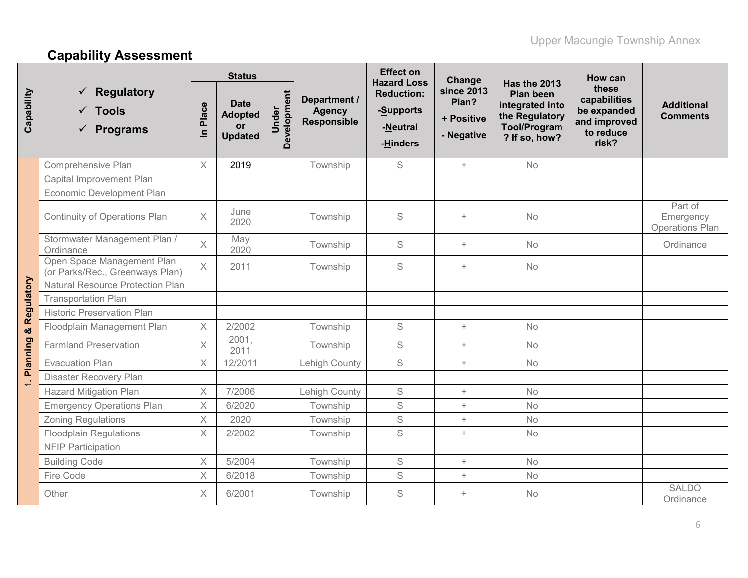# **Capability Assessment**

|                          |                                                               |          | <b>Status</b>                                                |                      |                                                     | <b>Effect on</b>                                                             | Change                                          |                                                                                                               | How can                                                                    |                                                |
|--------------------------|---------------------------------------------------------------|----------|--------------------------------------------------------------|----------------------|-----------------------------------------------------|------------------------------------------------------------------------------|-------------------------------------------------|---------------------------------------------------------------------------------------------------------------|----------------------------------------------------------------------------|------------------------------------------------|
| Capability               | <b>Regulatory</b><br>$\checkmark$ Tools<br><b>Programs</b>    | In Place | <b>Date</b><br><b>Adopted</b><br><b>or</b><br><b>Updated</b> | Development<br>Under | Department /<br><b>Agency</b><br><b>Responsible</b> | <b>Hazard Loss</b><br><b>Reduction:</b><br>-Supports<br>-Neutral<br>-Hinders | since 2013<br>Plan?<br>+ Positive<br>- Negative | Has the 2013<br><b>Plan been</b><br>integrated into<br>the Regulatory<br><b>Tool/Program</b><br>? If so, how? | these<br>capabilities<br>be expanded<br>and improved<br>to reduce<br>risk? | <b>Additional</b><br><b>Comments</b>           |
|                          | Comprehensive Plan                                            | $\times$ | 2019                                                         |                      | Township                                            | S                                                                            | $+$                                             | <b>No</b>                                                                                                     |                                                                            |                                                |
|                          | Capital Improvement Plan                                      |          |                                                              |                      |                                                     |                                                                              |                                                 |                                                                                                               |                                                                            |                                                |
|                          | Economic Development Plan                                     |          |                                                              |                      |                                                     |                                                                              |                                                 |                                                                                                               |                                                                            |                                                |
|                          | Continuity of Operations Plan                                 | X        | June<br>2020                                                 |                      | Township                                            | S                                                                            | $\ddot{}$                                       | No                                                                                                            |                                                                            | Part of<br>Emergency<br><b>Operations Plan</b> |
|                          | Stormwater Management Plan /<br>Ordinance                     | $\times$ | May<br>2020                                                  |                      | Township                                            | S                                                                            | $+$                                             | <b>No</b>                                                                                                     |                                                                            | Ordinance                                      |
|                          | Open Space Management Plan<br>(or Parks/Rec., Greenways Plan) | $\times$ | 2011                                                         |                      | Township                                            | S                                                                            | $+$                                             | No                                                                                                            |                                                                            |                                                |
|                          | <b>Natural Resource Protection Plan</b>                       |          |                                                              |                      |                                                     |                                                                              |                                                 |                                                                                                               |                                                                            |                                                |
|                          | <b>Transportation Plan</b>                                    |          |                                                              |                      |                                                     |                                                                              |                                                 |                                                                                                               |                                                                            |                                                |
|                          | <b>Historic Preservation Plan</b>                             |          |                                                              |                      |                                                     |                                                                              |                                                 |                                                                                                               |                                                                            |                                                |
|                          | Floodplain Management Plan                                    | X        | 2/2002                                                       |                      | Township                                            | S                                                                            | $\! +$                                          | <b>No</b>                                                                                                     |                                                                            |                                                |
| 1. Planning & Regulatory | <b>Farmland Preservation</b>                                  | X        | 2001,<br>2011                                                |                      | Township                                            | S                                                                            | $\pm$                                           | No                                                                                                            |                                                                            |                                                |
|                          | <b>Evacuation Plan</b>                                        | $\times$ | 12/2011                                                      |                      | Lehigh County                                       | S                                                                            | $+$                                             | <b>No</b>                                                                                                     |                                                                            |                                                |
|                          | <b>Disaster Recovery Plan</b>                                 |          |                                                              |                      |                                                     |                                                                              |                                                 |                                                                                                               |                                                                            |                                                |
|                          | <b>Hazard Mitigation Plan</b>                                 | X        | 7/2006                                                       |                      | Lehigh County                                       | S                                                                            | $\! +$                                          | <b>No</b>                                                                                                     |                                                                            |                                                |
|                          | <b>Emergency Operations Plan</b>                              | X        | 6/2020                                                       |                      | Township                                            | S                                                                            | $+$                                             | <b>No</b>                                                                                                     |                                                                            |                                                |
|                          | <b>Zoning Regulations</b>                                     | X        | 2020                                                         |                      | Township                                            | S                                                                            | $\! +$                                          | No                                                                                                            |                                                                            |                                                |
|                          | <b>Floodplain Regulations</b>                                 | $\times$ | 2/2002                                                       |                      | Township                                            | S                                                                            | $\pm$                                           | <b>No</b>                                                                                                     |                                                                            |                                                |
|                          | <b>NFIP Participation</b>                                     |          |                                                              |                      |                                                     |                                                                              |                                                 |                                                                                                               |                                                                            |                                                |
|                          | <b>Building Code</b>                                          | X        | 5/2004                                                       |                      | Township                                            | S                                                                            | $\pm$                                           | <b>No</b>                                                                                                     |                                                                            |                                                |
|                          | Fire Code                                                     | X        | 6/2018                                                       |                      | Township                                            | S                                                                            | $\! +$                                          | No                                                                                                            |                                                                            |                                                |
|                          | Other                                                         | X        | 6/2001                                                       |                      | Township                                            | S                                                                            | $\ddot{}$                                       | No                                                                                                            |                                                                            | <b>SALDO</b><br>Ordinance                      |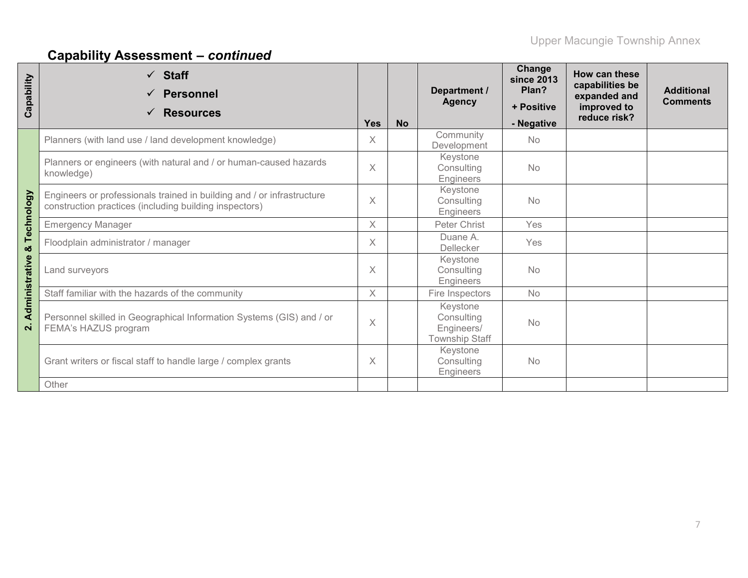# **Capability Assessment –** *continued*

| Capability     | $\checkmark$ Staff<br><b>Personnel</b><br>$\checkmark$<br><b>Resources</b>                                                       | <b>Yes</b> | <b>No</b> | Department /<br><b>Agency</b>                                 | Change<br><b>since 2013</b><br>Plan?<br>+ Positive<br>- Negative | How can these<br>capabilities be<br>expanded and<br>improved to<br>reduce risk? | <b>Additional</b><br><b>Comments</b> |
|----------------|----------------------------------------------------------------------------------------------------------------------------------|------------|-----------|---------------------------------------------------------------|------------------------------------------------------------------|---------------------------------------------------------------------------------|--------------------------------------|
|                | Planners (with land use / land development knowledge)                                                                            | X          |           | Community<br>Development                                      | <b>No</b>                                                        |                                                                                 |                                      |
|                | Planners or engineers (with natural and / or human-caused hazards<br>knowledge)                                                  | $\times$   |           | Keystone<br>Consulting<br>Engineers                           | <b>No</b>                                                        |                                                                                 |                                      |
| Technology     | Engineers or professionals trained in building and / or infrastructure<br>construction practices (including building inspectors) | $\times$   |           | Keystone<br>Consulting<br>Engineers                           | No                                                               |                                                                                 |                                      |
|                | <b>Emergency Manager</b>                                                                                                         | $\times$   |           | Peter Christ                                                  | Yes                                                              |                                                                                 |                                      |
| ೲ              | Floodplain administrator / manager                                                                                               |            |           | Duane A.<br>Dellecker                                         | Yes                                                              |                                                                                 |                                      |
| Administrative | Land surveyors                                                                                                                   |            |           | Keystone<br>Consulting<br>Engineers                           | <b>No</b>                                                        |                                                                                 |                                      |
|                | Staff familiar with the hazards of the community                                                                                 |            |           | Fire Inspectors                                               | <b>No</b>                                                        |                                                                                 |                                      |
| $\mathbf{N}$   | Personnel skilled in Geographical Information Systems (GIS) and / or<br>FEMA's HAZUS program                                     |            |           | Keystone<br>Consulting<br>Engineers/<br><b>Township Staff</b> | <b>No</b>                                                        |                                                                                 |                                      |
|                | Grant writers or fiscal staff to handle large / complex grants                                                                   |            |           | Keystone<br>Consulting<br>Engineers                           | No                                                               |                                                                                 |                                      |
|                | Other                                                                                                                            |            |           |                                                               |                                                                  |                                                                                 |                                      |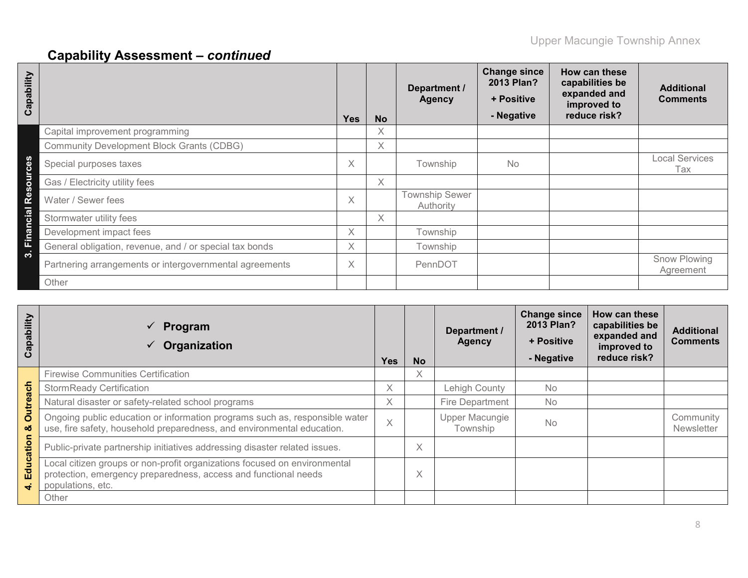# **Capability Assessment –** *continued*

| ability<br>Cap |                                                         | <b>Yes</b> | <b>No</b> | Department /<br><b>Agency</b>      | <b>Change since</b><br>2013 Plan?<br>+ Positive<br>- Negative | How can these<br>capabilities be<br>expanded and<br>improved to<br>reduce risk? | <b>Additional</b><br><b>Comments</b> |
|----------------|---------------------------------------------------------|------------|-----------|------------------------------------|---------------------------------------------------------------|---------------------------------------------------------------------------------|--------------------------------------|
|                | Capital improvement programming                         |            | X         |                                    |                                                               |                                                                                 |                                      |
|                | <b>Community Development Block Grants (CDBG)</b>        |            | X         |                                    |                                                               |                                                                                 |                                      |
| ğ.             | Special purposes taxes                                  | X          |           | Township                           | <b>No</b>                                                     |                                                                                 | <b>Local Services</b><br>Tax         |
| Б<br>$\circ$   | Gas / Electricity utility fees                          |            | X         |                                    |                                                               |                                                                                 |                                      |
| Φ<br>œ         | Water / Sewer fees                                      | X          |           | <b>Township Sewer</b><br>Authority |                                                               |                                                                                 |                                      |
| cial           | Stormwater utility fees                                 |            | X         |                                    |                                                               |                                                                                 |                                      |
| <b>Finan</b>   | Development impact fees                                 | X.         |           | Township                           |                                                               |                                                                                 |                                      |
|                | General obligation, revenue, and / or special tax bonds | X          |           | Township                           |                                                               |                                                                                 |                                      |
| က              | Partnering arrangements or intergovernmental agreements | X          |           | PennDOT                            |                                                               |                                                                                 | Snow Plowing<br>Agreement            |
|                | Other                                                   |            |           |                                    |                                                               |                                                                                 |                                      |

| Capability   | Program<br>$\checkmark$<br>Organization                                                                                                                                | <b>Yes</b> | <b>No</b> | Department /<br><b>Agency</b> | <b>Change since</b><br>2013 Plan?<br>+ Positive<br>- Negative | How can these<br>capabilities be<br>expanded and<br>improved to<br>reduce risk? | <b>Additional</b><br><b>Comments</b> |
|--------------|------------------------------------------------------------------------------------------------------------------------------------------------------------------------|------------|-----------|-------------------------------|---------------------------------------------------------------|---------------------------------------------------------------------------------|--------------------------------------|
|              | <b>Firewise Communities Certification</b>                                                                                                                              |            | X         |                               |                                                               |                                                                                 |                                      |
| ach          | <b>StormReady Certification</b>                                                                                                                                        | X          |           | Lehigh County                 | <b>No</b>                                                     |                                                                                 |                                      |
|              | Natural disaster or safety-related school programs                                                                                                                     |            |           | <b>Fire Department</b>        | <b>No</b>                                                     |                                                                                 |                                      |
| ೲ            | <b>Outrea</b><br>Ongoing public education or information programs such as, responsible water<br>use, fire safety, household preparedness, and environmental education. |            |           | Upper Macungie<br>Township    | <b>No</b>                                                     |                                                                                 | Community<br>Newsletter              |
| ation        | Public-private partnership initiatives addressing disaster related issues.                                                                                             |            | $\times$  |                               |                                                               |                                                                                 |                                      |
| <b>Educa</b> | Local citizen groups or non-profit organizations focused on environmental<br>protection, emergency preparedness, access and functional needs<br>populations, etc.      |            | X         |                               |                                                               |                                                                                 |                                      |
|              | Other                                                                                                                                                                  |            |           |                               |                                                               |                                                                                 |                                      |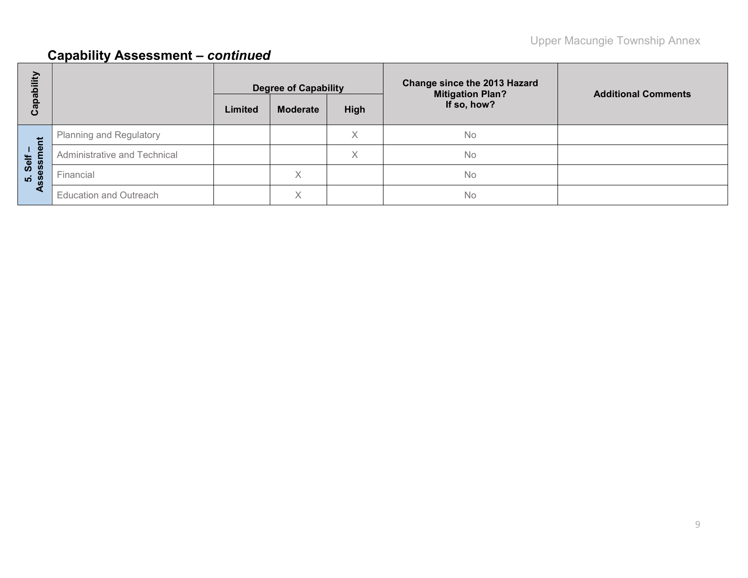# **Capability Assessment –** *continued*

| Capability            |                                |         | <b>Degree of Capability</b> |      | <b>Change since the 2013 Hazard</b><br><b>Mitigation Plan?</b> | <b>Additional Comments</b> |
|-----------------------|--------------------------------|---------|-----------------------------|------|----------------------------------------------------------------|----------------------------|
|                       |                                | Limited | <b>Moderate</b>             | High | If so, how?                                                    |                            |
|                       | <b>Planning and Regulatory</b> |         |                             | Χ    | <b>No</b>                                                      |                            |
| ment<br>Self          | Administrative and Technical   |         |                             | X    | <b>No</b>                                                      |                            |
| esa<br>$\overline{5}$ | Financial                      |         | $\curvearrowright$          |      | <b>No</b>                                                      |                            |
|                       | <b>Education and Outreach</b>  |         | $\checkmark$                |      | <b>No</b>                                                      |                            |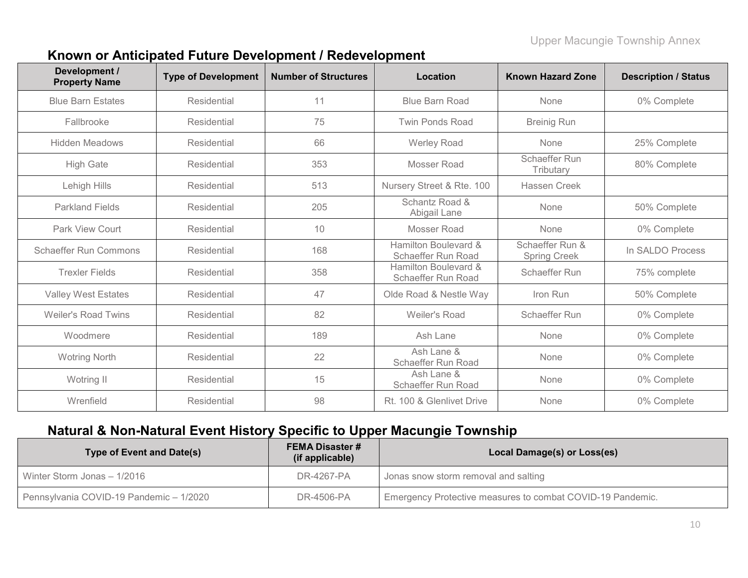### **Known or Anticipated Future Development / Redevelopment**

| Development /<br><b>Property Name</b> | <b>Type of Development</b> | <b>Number of Structures</b> | Location                                   | <b>Known Hazard Zone</b>               | <b>Description / Status</b> |
|---------------------------------------|----------------------------|-----------------------------|--------------------------------------------|----------------------------------------|-----------------------------|
| <b>Blue Barn Estates</b>              | Residential                | 11                          | <b>Blue Barn Road</b>                      | None                                   | 0% Complete                 |
| Fallbrooke                            | Residential                | 75                          | <b>Twin Ponds Road</b>                     | <b>Breinig Run</b>                     |                             |
| <b>Hidden Meadows</b>                 | Residential                | 66                          | Werley Road                                | None                                   | 25% Complete                |
| <b>High Gate</b>                      | Residential                | 353                         | Mosser Road                                | <b>Schaeffer Run</b><br>Tributary      | 80% Complete                |
| Lehigh Hills                          | Residential                | 513                         | Nursery Street & Rte. 100                  | Hassen Creek                           |                             |
| <b>Parkland Fields</b>                | Residential                | 205                         | Schantz Road &<br>Abigail Lane             | None                                   | 50% Complete                |
| <b>Park View Court</b>                | Residential                | 10                          | Mosser Road                                | None                                   | 0% Complete                 |
| <b>Schaeffer Run Commons</b>          | Residential                | 168                         | Hamilton Boulevard &<br>Schaeffer Run Road | Schaeffer Run &<br><b>Spring Creek</b> | In SALDO Process            |
| <b>Trexler Fields</b>                 | Residential                | 358                         | Hamilton Boulevard &<br>Schaeffer Run Road | <b>Schaeffer Run</b>                   | 75% complete                |
| <b>Valley West Estates</b>            | Residential                | 47                          | Olde Road & Nestle Way                     | Iron Run                               | 50% Complete                |
| <b>Weiler's Road Twins</b>            | Residential                | 82                          | Weiler's Road                              | <b>Schaeffer Run</b>                   | 0% Complete                 |
| Woodmere                              | Residential                | 189                         | Ash Lane                                   | None                                   | 0% Complete                 |
| <b>Wotring North</b>                  | <b>Residential</b>         | 22                          | Ash Lane &<br>Schaeffer Run Road           | None                                   | 0% Complete                 |
| Wotring II                            | <b>Residential</b>         | 15                          | Ash Lane &<br>Schaeffer Run Road           | None                                   | 0% Complete                 |
| Wrenfield                             | Residential                | 98                          | Rt. 100 & Glenlivet Drive                  | None                                   | 0% Complete                 |

### **Natural & Non-Natural Event History Specific to Upper Macungie Township**

| Type of Event and Date(s)               | <b>FEMA Disaster #</b><br>(if applicable) | Local Damage(s) or Loss(es)                                |
|-----------------------------------------|-------------------------------------------|------------------------------------------------------------|
| Winter Storm Jonas - 1/2016             | DR-4267-PA                                | Jonas snow storm removal and salting                       |
| Pennsylvania COVID-19 Pandemic - 1/2020 | DR-4506-PA                                | Emergency Protective measures to combat COVID-19 Pandemic. |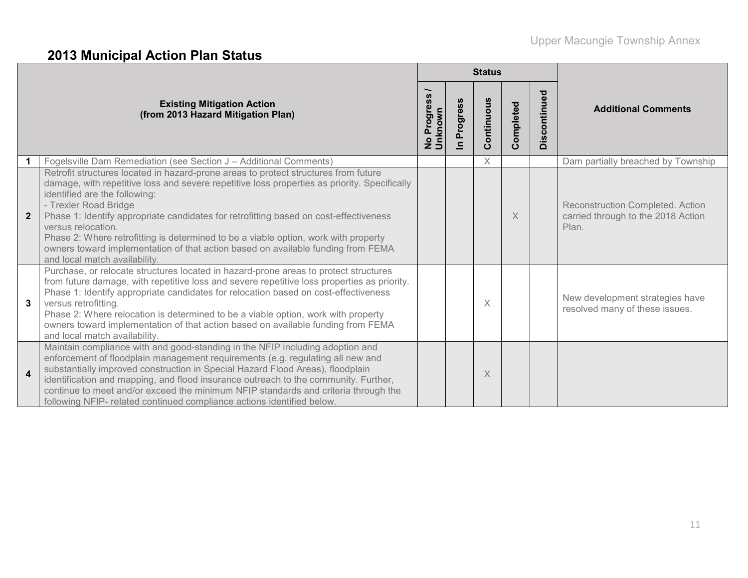# **2013 Municipal Action Plan Status**

|                  |                                                                                                                                                                                                                                                                                                                                                                                                                                                                                                                                                                          |                                  |                         | <b>Status</b> |           |                       |                                                                                 |
|------------------|--------------------------------------------------------------------------------------------------------------------------------------------------------------------------------------------------------------------------------------------------------------------------------------------------------------------------------------------------------------------------------------------------------------------------------------------------------------------------------------------------------------------------------------------------------------------------|----------------------------------|-------------------------|---------------|-----------|-----------------------|---------------------------------------------------------------------------------|
|                  | <b>Existing Mitigation Action</b><br>(from 2013 Hazard Mitigation Plan)                                                                                                                                                                                                                                                                                                                                                                                                                                                                                                  | Progress<br>No Progre<br>Unknown | Progress<br>$\subseteq$ | Continuous    | Completed | ್ಠಾ<br>continu<br>Dis | <b>Additional Comments</b>                                                      |
|                  | Fogelsville Dam Remediation (see Section J - Additional Comments)                                                                                                                                                                                                                                                                                                                                                                                                                                                                                                        |                                  |                         | $\times$      |           |                       | Dam partially breached by Township                                              |
| $\overline{2}$   | Retrofit structures located in hazard-prone areas to protect structures from future<br>damage, with repetitive loss and severe repetitive loss properties as priority. Specifically<br>identified are the following:<br>- Trexler Road Bridge<br>Phase 1: Identify appropriate candidates for retrofitting based on cost-effectiveness<br>versus relocation.<br>Phase 2: Where retrofitting is determined to be a viable option, work with property<br>owners toward implementation of that action based on available funding from FEMA<br>and local match availability. |                                  |                         |               | X         |                       | Reconstruction Completed. Action<br>carried through to the 2018 Action<br>Plan. |
| 3                | Purchase, or relocate structures located in hazard-prone areas to protect structures<br>from future damage, with repetitive loss and severe repetitive loss properties as priority.<br>Phase 1: Identify appropriate candidates for relocation based on cost-effectiveness<br>versus retrofitting.<br>Phase 2: Where relocation is determined to be a viable option, work with property<br>owners toward implementation of that action based on available funding from FEMA<br>and local match availability.                                                             |                                  |                         | X             |           |                       | New development strategies have<br>resolved many of these issues.               |
| $\boldsymbol{4}$ | Maintain compliance with and good-standing in the NFIP including adoption and<br>enforcement of floodplain management requirements (e.g. regulating all new and<br>substantially improved construction in Special Hazard Flood Areas), floodplain<br>identification and mapping, and flood insurance outreach to the community. Further,<br>continue to meet and/or exceed the minimum NFIP standards and criteria through the<br>following NFIP- related continued compliance actions identified below.                                                                 |                                  |                         | X             |           |                       |                                                                                 |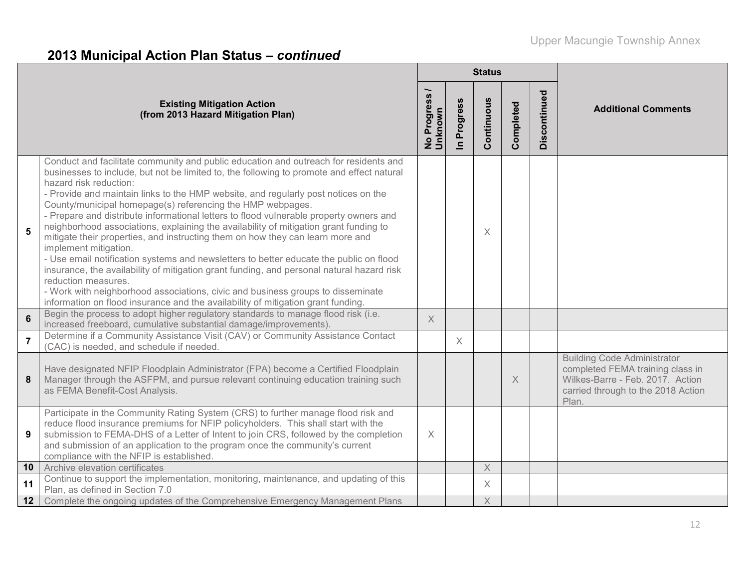# **2013 Municipal Action Plan Status –** *continued*

|                |                                                                                                                                                                                                                                                                                                                                                                                                                                                                                                                                                                                                                                                                                                                                                                                                                                                                                                                                                                                                                                                    | <b>Status</b>                    |                      |             |           |              |                                                                                                                                                           |  |  |  |
|----------------|----------------------------------------------------------------------------------------------------------------------------------------------------------------------------------------------------------------------------------------------------------------------------------------------------------------------------------------------------------------------------------------------------------------------------------------------------------------------------------------------------------------------------------------------------------------------------------------------------------------------------------------------------------------------------------------------------------------------------------------------------------------------------------------------------------------------------------------------------------------------------------------------------------------------------------------------------------------------------------------------------------------------------------------------------|----------------------------------|----------------------|-------------|-----------|--------------|-----------------------------------------------------------------------------------------------------------------------------------------------------------|--|--|--|
|                | <b>Existing Mitigation Action</b><br>(from 2013 Hazard Mitigation Plan)                                                                                                                                                                                                                                                                                                                                                                                                                                                                                                                                                                                                                                                                                                                                                                                                                                                                                                                                                                            | Progress<br>No Progre<br>Unknown | Progress<br>$\equiv$ | Continuous  | Completed | Discontinued | <b>Additional Comments</b>                                                                                                                                |  |  |  |
| 5              | Conduct and facilitate community and public education and outreach for residents and<br>businesses to include, but not be limited to, the following to promote and effect natural<br>hazard risk reduction:<br>- Provide and maintain links to the HMP website, and regularly post notices on the<br>County/municipal homepage(s) referencing the HMP webpages.<br>- Prepare and distribute informational letters to flood vulnerable property owners and<br>neighborhood associations, explaining the availability of mitigation grant funding to<br>mitigate their properties, and instructing them on how they can learn more and<br>implement mitigation.<br>- Use email notification systems and newsletters to better educate the public on flood<br>insurance, the availability of mitigation grant funding, and personal natural hazard risk<br>reduction measures.<br>- Work with neighborhood associations, civic and business groups to disseminate<br>information on flood insurance and the availability of mitigation grant funding. |                                  |                      | X           |           |              |                                                                                                                                                           |  |  |  |
| $6\phantom{1}$ | Begin the process to adopt higher regulatory standards to manage flood risk (i.e.<br>increased freeboard, cumulative substantial damage/improvements).                                                                                                                                                                                                                                                                                                                                                                                                                                                                                                                                                                                                                                                                                                                                                                                                                                                                                             | $\times$                         |                      |             |           |              |                                                                                                                                                           |  |  |  |
| $\overline{7}$ | Determine if a Community Assistance Visit (CAV) or Community Assistance Contact<br>(CAC) is needed, and schedule if needed.                                                                                                                                                                                                                                                                                                                                                                                                                                                                                                                                                                                                                                                                                                                                                                                                                                                                                                                        |                                  | $\times$             |             |           |              |                                                                                                                                                           |  |  |  |
| 8              | Have designated NFIP Floodplain Administrator (FPA) become a Certified Floodplain<br>Manager through the ASFPM, and pursue relevant continuing education training such<br>as FEMA Benefit-Cost Analysis.                                                                                                                                                                                                                                                                                                                                                                                                                                                                                                                                                                                                                                                                                                                                                                                                                                           |                                  |                      |             | $\times$  |              | <b>Building Code Administrator</b><br>completed FEMA training class in<br>Wilkes-Barre - Feb. 2017. Action<br>carried through to the 2018 Action<br>Plan. |  |  |  |
| 9              | Participate in the Community Rating System (CRS) to further manage flood risk and<br>reduce flood insurance premiums for NFIP policyholders. This shall start with the<br>submission to FEMA-DHS of a Letter of Intent to join CRS, followed by the completion<br>and submission of an application to the program once the community's current<br>compliance with the NFIP is established.                                                                                                                                                                                                                                                                                                                                                                                                                                                                                                                                                                                                                                                         | $\times$                         |                      |             |           |              |                                                                                                                                                           |  |  |  |
| 10             | Archive elevation certificates                                                                                                                                                                                                                                                                                                                                                                                                                                                                                                                                                                                                                                                                                                                                                                                                                                                                                                                                                                                                                     |                                  |                      | $\mathsf X$ |           |              |                                                                                                                                                           |  |  |  |
| 11             | Continue to support the implementation, monitoring, maintenance, and updating of this<br>Plan, as defined in Section 7.0                                                                                                                                                                                                                                                                                                                                                                                                                                                                                                                                                                                                                                                                                                                                                                                                                                                                                                                           |                                  |                      | $\times$    |           |              |                                                                                                                                                           |  |  |  |
| 12             | Complete the ongoing updates of the Comprehensive Emergency Management Plans                                                                                                                                                                                                                                                                                                                                                                                                                                                                                                                                                                                                                                                                                                                                                                                                                                                                                                                                                                       |                                  |                      | $\times$    |           |              |                                                                                                                                                           |  |  |  |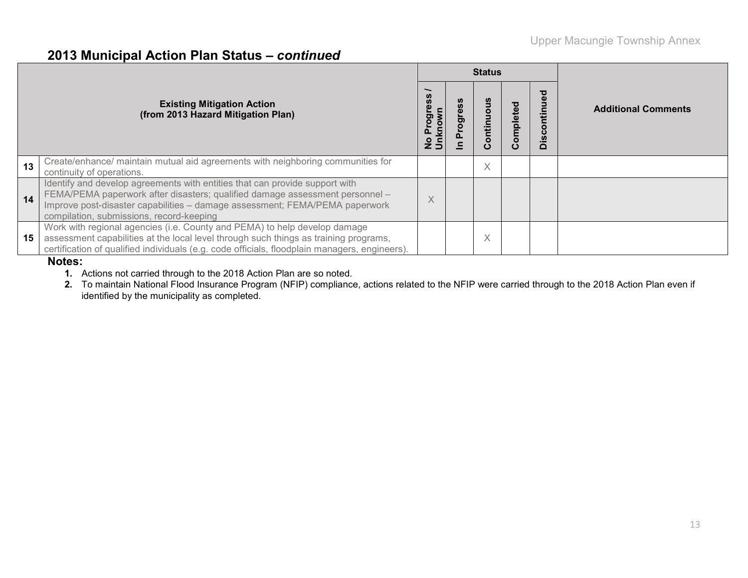#### **2013 Municipal Action Plan Status –** *continued*

|    |                                                                                                                                                                                                                                                                                        |                                   | <b>Status</b>     |           |                 |                            |
|----|----------------------------------------------------------------------------------------------------------------------------------------------------------------------------------------------------------------------------------------------------------------------------------------|-----------------------------------|-------------------|-----------|-----------------|----------------------------|
|    | <b>Existing Mitigation Action</b><br>(from 2013 Hazard Mitigation Plan)                                                                                                                                                                                                                | <b>UMD</b><br>ත<br>No Pr<br>Unkng | ntinu<br>O<br>ပ   | Completed | ඁෳ<br>O<br>Disc | <b>Additional Comments</b> |
| 13 | Create/enhance/ maintain mutual aid agreements with neighboring communities for<br>continuity of operations.                                                                                                                                                                           |                                   | $\checkmark$<br>∧ |           |                 |                            |
| 14 | Identify and develop agreements with entities that can provide support with<br>FEMA/PEMA paperwork after disasters; qualified damage assessment personnel -<br>Improve post-disaster capabilities - damage assessment; FEMA/PEMA paperwork<br>compilation, submissions, record-keeping | $\times$                          |                   |           |                 |                            |
| 15 | Work with regional agencies (i.e. County and PEMA) to help develop damage<br>assessment capabilities at the local level through such things as training programs,<br>certification of qualified individuals (e.g. code officials, floodplain managers, engineers).<br>$\blacksquare$   |                                   | $\checkmark$<br>∧ |           |                 |                            |

#### **Notes:**

**1.** Actions not carried through to the 2018 Action Plan are so noted.

**2.** To maintain National Flood Insurance Program (NFIP) compliance, actions related to the NFIP were carried through to the 2018 Action Plan even if identified by the municipality as completed.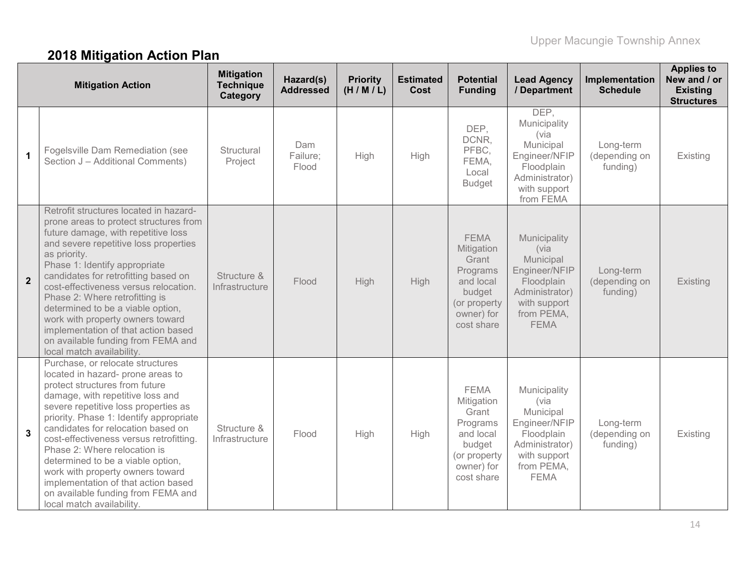# **2018 Mitigation Action Plan**

|                | <b>Mitigation Action</b>                                                                                                                                                                                                                                                                                                                                                                                                                                                                                                           | <b>Mitigation</b><br><b>Technique</b><br>Category | Hazard(s)<br><b>Addressed</b> | <b>Priority</b><br>(H/M/L) | <b>Estimated</b><br>Cost | <b>Potential</b><br><b>Funding</b>                                                                                | <b>Lead Agency</b><br>/ Department                                                                                              | Implementation<br><b>Schedule</b>      | <b>Applies to</b><br>New and / or<br><b>Existing</b><br><b>Structures</b> |
|----------------|------------------------------------------------------------------------------------------------------------------------------------------------------------------------------------------------------------------------------------------------------------------------------------------------------------------------------------------------------------------------------------------------------------------------------------------------------------------------------------------------------------------------------------|---------------------------------------------------|-------------------------------|----------------------------|--------------------------|-------------------------------------------------------------------------------------------------------------------|---------------------------------------------------------------------------------------------------------------------------------|----------------------------------------|---------------------------------------------------------------------------|
| $\mathbf{1}$   | Fogelsville Dam Remediation (see<br>Section J - Additional Comments)                                                                                                                                                                                                                                                                                                                                                                                                                                                               | Structural<br>Project                             | Dam<br>Failure;<br>Flood      | High                       | High                     | DEP,<br>DCNR,<br>PFBC,<br>FEMA,<br>Local<br><b>Budget</b>                                                         | DEP,<br>Municipality<br>(via<br>Municipal<br>Engineer/NFIP<br>Floodplain<br>Administrator)<br>with support<br>from FEMA         | Long-term<br>(depending on<br>funding) | Existing                                                                  |
| $\overline{2}$ | Retrofit structures located in hazard-<br>prone areas to protect structures from<br>future damage, with repetitive loss<br>and severe repetitive loss properties<br>as priority.<br>Phase 1: Identify appropriate<br>candidates for retrofitting based on<br>cost-effectiveness versus relocation.<br>Phase 2: Where retrofitting is<br>determined to be a viable option,<br>work with property owners toward<br>implementation of that action based<br>on available funding from FEMA and<br>local match availability.            | Structure &<br>Infrastructure                     | Flood                         | High                       | High                     | <b>FEMA</b><br>Mitigation<br>Grant<br>Programs<br>and local<br>budget<br>(or property<br>owner) for<br>cost share | Municipality<br>(via<br>Municipal<br>Engineer/NFIP<br>Floodplain<br>Administrator)<br>with support<br>from PEMA,<br><b>FEMA</b> | Long-term<br>(depending on<br>funding) | Existing                                                                  |
| $\mathbf{3}$   | Purchase, or relocate structures<br>located in hazard- prone areas to<br>protect structures from future<br>damage, with repetitive loss and<br>severe repetitive loss properties as<br>priority. Phase 1: Identify appropriate<br>candidates for relocation based on<br>cost-effectiveness versus retrofitting.<br>Phase 2: Where relocation is<br>determined to be a viable option,<br>work with property owners toward<br>implementation of that action based<br>on available funding from FEMA and<br>local match availability. | Structure &<br>Infrastructure                     | Flood                         | High                       | High                     | <b>FEMA</b><br>Mitigation<br>Grant<br>Programs<br>and local<br>budget<br>(or property<br>owner) for<br>cost share | Municipality<br>(via<br>Municipal<br>Engineer/NFIP<br>Floodplain<br>Administrator)<br>with support<br>from PEMA,<br><b>FEMA</b> | Long-term<br>(depending on<br>funding) | Existing                                                                  |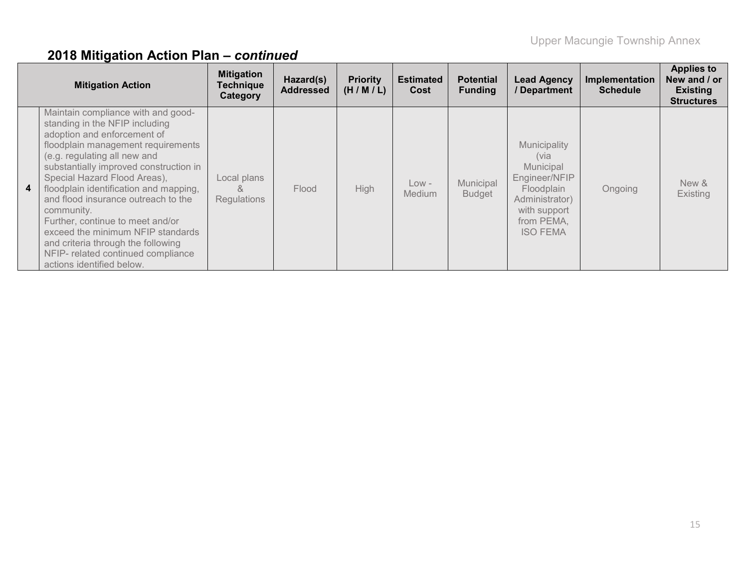|                | <b>Mitigation Action</b>                                                                                                                                                                                                                                                                                                                                                                                                                                                                                                             | <b>Mitigation</b><br><b>Technique</b><br>Category | Hazard(s)<br><b>Addressed</b> | <b>Priority</b><br>(H/M/L) | <b>Estimated</b><br>Cost | <b>Potential</b><br><b>Funding</b> | <b>Lead Agency</b><br>/Department                                                                                                   | Implementation<br><b>Schedule</b> | <b>Applies to</b><br>New and / or<br><b>Existing</b><br><b>Structures</b> |
|----------------|--------------------------------------------------------------------------------------------------------------------------------------------------------------------------------------------------------------------------------------------------------------------------------------------------------------------------------------------------------------------------------------------------------------------------------------------------------------------------------------------------------------------------------------|---------------------------------------------------|-------------------------------|----------------------------|--------------------------|------------------------------------|-------------------------------------------------------------------------------------------------------------------------------------|-----------------------------------|---------------------------------------------------------------------------|
| 4 <sup>1</sup> | Maintain compliance with and good-<br>standing in the NFIP including<br>adoption and enforcement of<br>floodplain management requirements<br>(e.g. regulating all new and<br>substantially improved construction in<br>Special Hazard Flood Areas),<br>floodplain identification and mapping,<br>and flood insurance outreach to the<br>community.<br>Further, continue to meet and/or<br>exceed the minimum NFIP standards<br>and criteria through the following<br>NFIP- related continued compliance<br>actions identified below. | Local plans<br>×.<br>Regulations                  | Flood                         | High                       | $Low -$<br><b>Medium</b> | Municipal<br><b>Budget</b>         | Municipality<br>(via<br>Municipal<br>Engineer/NFIP<br>Floodplain<br>Administrator)<br>with support<br>from PEMA,<br><b>ISO FEMA</b> | Ongoing                           | New &<br>Existing                                                         |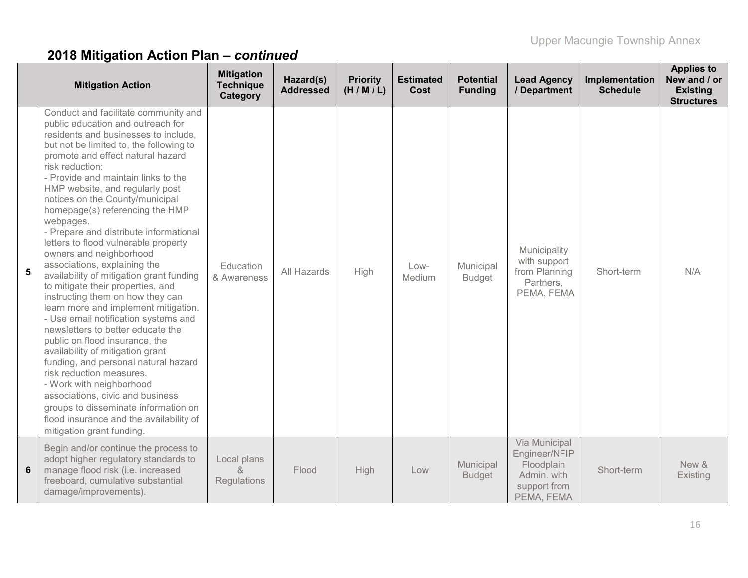|   | <b>Mitigation Action</b>                                                                                                                                                                                                                                                                                                                                                                                                                                                                                                                                                                                                                                                                                                                                                                                                                                                                                                                                                                                                                                                                           | <b>Mitigation</b><br><b>Technique</b><br>Category | Hazard(s)<br><b>Addressed</b> | <b>Priority</b><br>(H/M/L) | <b>Estimated</b><br>Cost | <b>Potential</b><br><b>Funding</b> | <b>Lead Agency</b><br>/ Department                                                        | Implementation<br><b>Schedule</b> | <b>Applies to</b><br>New and / or<br><b>Existing</b><br><b>Structures</b> |
|---|----------------------------------------------------------------------------------------------------------------------------------------------------------------------------------------------------------------------------------------------------------------------------------------------------------------------------------------------------------------------------------------------------------------------------------------------------------------------------------------------------------------------------------------------------------------------------------------------------------------------------------------------------------------------------------------------------------------------------------------------------------------------------------------------------------------------------------------------------------------------------------------------------------------------------------------------------------------------------------------------------------------------------------------------------------------------------------------------------|---------------------------------------------------|-------------------------------|----------------------------|--------------------------|------------------------------------|-------------------------------------------------------------------------------------------|-----------------------------------|---------------------------------------------------------------------------|
| 5 | Conduct and facilitate community and<br>public education and outreach for<br>residents and businesses to include,<br>but not be limited to, the following to<br>promote and effect natural hazard<br>risk reduction:<br>- Provide and maintain links to the<br>HMP website, and regularly post<br>notices on the County/municipal<br>homepage(s) referencing the HMP<br>webpages.<br>- Prepare and distribute informational<br>letters to flood vulnerable property<br>owners and neighborhood<br>associations, explaining the<br>availability of mitigation grant funding<br>to mitigate their properties, and<br>instructing them on how they can<br>learn more and implement mitigation.<br>- Use email notification systems and<br>newsletters to better educate the<br>public on flood insurance, the<br>availability of mitigation grant<br>funding, and personal natural hazard<br>risk reduction measures.<br>- Work with neighborhood<br>associations, civic and business<br>groups to disseminate information on<br>flood insurance and the availability of<br>mitigation grant funding. | Education<br>& Awareness                          | All Hazards                   | High                       | $Low-$<br>Medium         | Municipal<br><b>Budget</b>         | Municipality<br>with support<br>from Planning<br>Partners,<br>PEMA, FEMA                  | Short-term                        | N/A                                                                       |
| 6 | Begin and/or continue the process to<br>adopt higher regulatory standards to<br>manage flood risk (i.e. increased<br>freeboard, cumulative substantial<br>damage/improvements).                                                                                                                                                                                                                                                                                                                                                                                                                                                                                                                                                                                                                                                                                                                                                                                                                                                                                                                    | Local plans<br>&<br>Regulations                   | Flood                         | <b>High</b>                | Low                      | Municipal<br><b>Budget</b>         | Via Municipal<br>Engineer/NFIP<br>Floodplain<br>Admin. with<br>support from<br>PEMA, FEMA | Short-term                        | New &<br>Existing                                                         |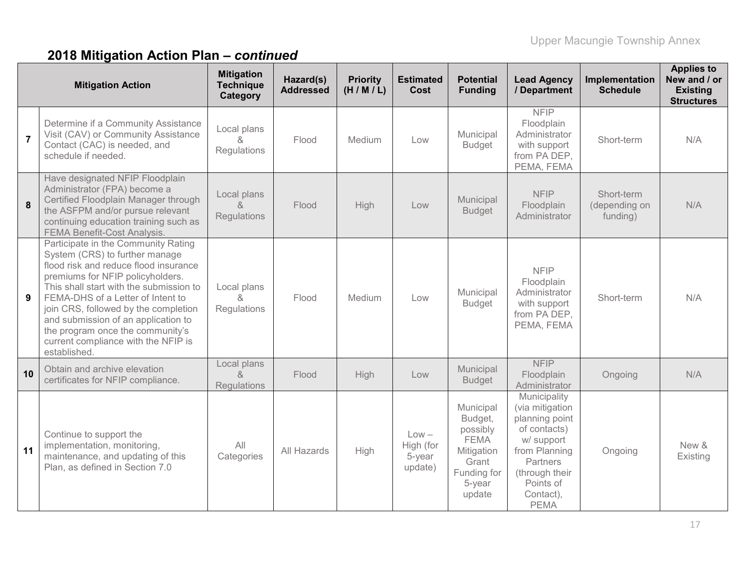|                | <b>Mitigation Action</b>                                                                                                                                                                                                                                                                                                                                                                                     | <b>Mitigation</b><br><b>Technique</b><br>Category | Hazard(s)<br><b>Addressed</b> | <b>Priority</b><br>(H/M/L) | <b>Estimated</b><br><b>Cost</b>           | <b>Potential</b><br><b>Funding</b>                                                                        | <b>Lead Agency</b><br>/ Department                                                                                                                                      | Implementation<br><b>Schedule</b>       | <b>Applies to</b><br>New and / or<br><b>Existing</b><br><b>Structures</b> |
|----------------|--------------------------------------------------------------------------------------------------------------------------------------------------------------------------------------------------------------------------------------------------------------------------------------------------------------------------------------------------------------------------------------------------------------|---------------------------------------------------|-------------------------------|----------------------------|-------------------------------------------|-----------------------------------------------------------------------------------------------------------|-------------------------------------------------------------------------------------------------------------------------------------------------------------------------|-----------------------------------------|---------------------------------------------------------------------------|
| $\overline{7}$ | Determine if a Community Assistance<br>Visit (CAV) or Community Assistance<br>Contact (CAC) is needed, and<br>schedule if needed.                                                                                                                                                                                                                                                                            | Local plans<br>&<br>Regulations                   | Flood                         | Medium                     | Low                                       | Municipal<br><b>Budget</b>                                                                                | <b>NFIP</b><br>Floodplain<br>Administrator<br>with support<br>from PA DEP,<br>PEMA, FEMA                                                                                | Short-term                              | N/A                                                                       |
| 8              | Have designated NFIP Floodplain<br>Administrator (FPA) become a<br>Certified Floodplain Manager through<br>the ASFPM and/or pursue relevant<br>continuing education training such as<br><b>FEMA Benefit-Cost Analysis.</b>                                                                                                                                                                                   | Local plans<br>$\alpha$<br>Regulations            | Flood                         | High                       | Low                                       | Municipal<br><b>Budget</b>                                                                                | <b>NFIP</b><br>Floodplain<br>Administrator                                                                                                                              | Short-term<br>(depending on<br>funding) | N/A                                                                       |
| 9              | Participate in the Community Rating<br>System (CRS) to further manage<br>flood risk and reduce flood insurance<br>premiums for NFIP policyholders.<br>This shall start with the submission to<br>FEMA-DHS of a Letter of Intent to<br>join CRS, followed by the completion<br>and submission of an application to<br>the program once the community's<br>current compliance with the NFIP is<br>established. | Local plans<br><sub>R</sub><br>Regulations        | Flood                         | Medium                     | Low                                       | Municipal<br><b>Budget</b>                                                                                | <b>NFIP</b><br>Floodplain<br>Administrator<br>with support<br>from PA DEP,<br>PEMA, FEMA                                                                                | Short-term                              | N/A                                                                       |
| 10             | Obtain and archive elevation<br>certificates for NFIP compliance.                                                                                                                                                                                                                                                                                                                                            | Local plans<br>&<br><b>Regulations</b>            | Flood                         | High                       | Low                                       | Municipal<br><b>Budget</b>                                                                                | <b>NFIP</b><br>Floodplain<br>Administrator                                                                                                                              | Ongoing                                 | N/A                                                                       |
| 11             | Continue to support the<br>implementation, monitoring,<br>maintenance, and updating of this<br>Plan, as defined in Section 7.0                                                                                                                                                                                                                                                                               | All<br>Categories                                 | All Hazards                   | High                       | $Low -$<br>High (for<br>5-year<br>update) | Municipal<br>Budget,<br>possibly<br><b>FEMA</b><br>Mitigation<br>Grant<br>Funding for<br>5-year<br>update | Municipality<br>(via mitigation<br>planning point<br>of contacts)<br>w/ support<br>from Planning<br>Partners<br>(through their<br>Points of<br>Contact),<br><b>PEMA</b> | Ongoing                                 | New &<br>Existing                                                         |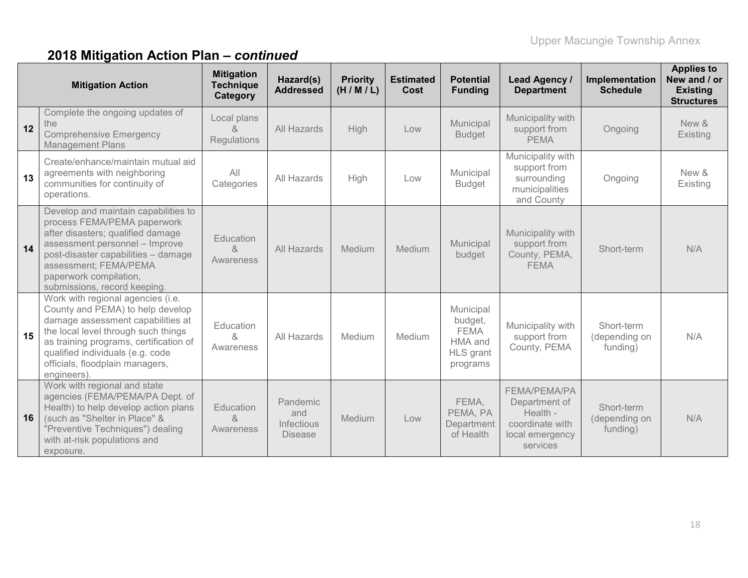|    | <b>Mitigation Action</b>                                                                                                                                                                                                                                                          | <b>Mitigation</b><br><b>Technique</b><br>Category | Hazard(s)<br><b>Addressed</b>                          | <b>Priority</b><br>(H/M/L) | <b>Estimated</b><br><b>Cost</b> | <b>Potential</b><br><b>Funding</b>                                             | <b>Lead Agency /</b><br><b>Department</b>                                                          | Implementation<br><b>Schedule</b>       | <b>Applies to</b><br>New and / or<br><b>Existing</b><br><b>Structures</b> |
|----|-----------------------------------------------------------------------------------------------------------------------------------------------------------------------------------------------------------------------------------------------------------------------------------|---------------------------------------------------|--------------------------------------------------------|----------------------------|---------------------------------|--------------------------------------------------------------------------------|----------------------------------------------------------------------------------------------------|-----------------------------------------|---------------------------------------------------------------------------|
| 12 | Complete the ongoing updates of<br>the<br><b>Comprehensive Emergency</b><br><b>Management Plans</b>                                                                                                                                                                               | Local plans<br>&<br>Regulations                   | All Hazards                                            | High                       | Low                             | Municipal<br><b>Budget</b>                                                     | Municipality with<br>support from<br><b>PEMA</b>                                                   | Ongoing                                 | New &<br>Existing                                                         |
| 13 | Create/enhance/maintain mutual aid<br>agreements with neighboring<br>communities for continuity of<br>operations.                                                                                                                                                                 | All<br>Categories                                 | All Hazards                                            | High                       | Low                             | Municipal<br><b>Budget</b>                                                     | Municipality with<br>support from<br>surrounding<br>municipalities<br>and County                   | Ongoing                                 | New &<br>Existing                                                         |
| 14 | Develop and maintain capabilities to<br>process FEMA/PEMA paperwork<br>after disasters; qualified damage<br>assessment personnel - Improve<br>post-disaster capabilities - damage<br>assessment; FEMA/PEMA<br>paperwork compilation,<br>submissions, record keeping.              | Education<br>&<br>Awareness                       | <b>All Hazards</b>                                     | Medium                     | Medium                          | Municipal<br>budget                                                            | Municipality with<br>support from<br>County, PEMA,<br><b>FEMA</b>                                  | Short-term                              | N/A                                                                       |
| 15 | Work with regional agencies (i.e.<br>County and PEMA) to help develop<br>damage assessment capabilities at<br>the local level through such things<br>as training programs, certification of<br>qualified individuals (e.g. code<br>officials, floodplain managers,<br>engineers). | Education<br>&<br>Awareness                       | All Hazards                                            | Medium                     | Medium                          | Municipal<br>budget,<br><b>FEMA</b><br>HMA and<br><b>HLS</b> grant<br>programs | Municipality with<br>support from<br>County, PEMA                                                  | Short-term<br>(depending on<br>funding) | N/A                                                                       |
| 16 | Work with regional and state<br>agencies (FEMA/PEMA/PA Dept. of<br>Health) to help develop action plans<br>(such as "Shelter in Place" &<br>"Preventive Techniques") dealing<br>with at-risk populations and<br>exposure.                                                         | Education<br>&<br>Awareness                       | Pandemic<br>and<br><b>Infectious</b><br><b>Disease</b> | Medium                     | Low                             | FEMA,<br>PEMA, PA<br>Department<br>of Health                                   | <b>FEMA/PEMA/PA</b><br>Department of<br>Health -<br>coordinate with<br>local emergency<br>services | Short-term<br>(depending on<br>funding) | N/A                                                                       |